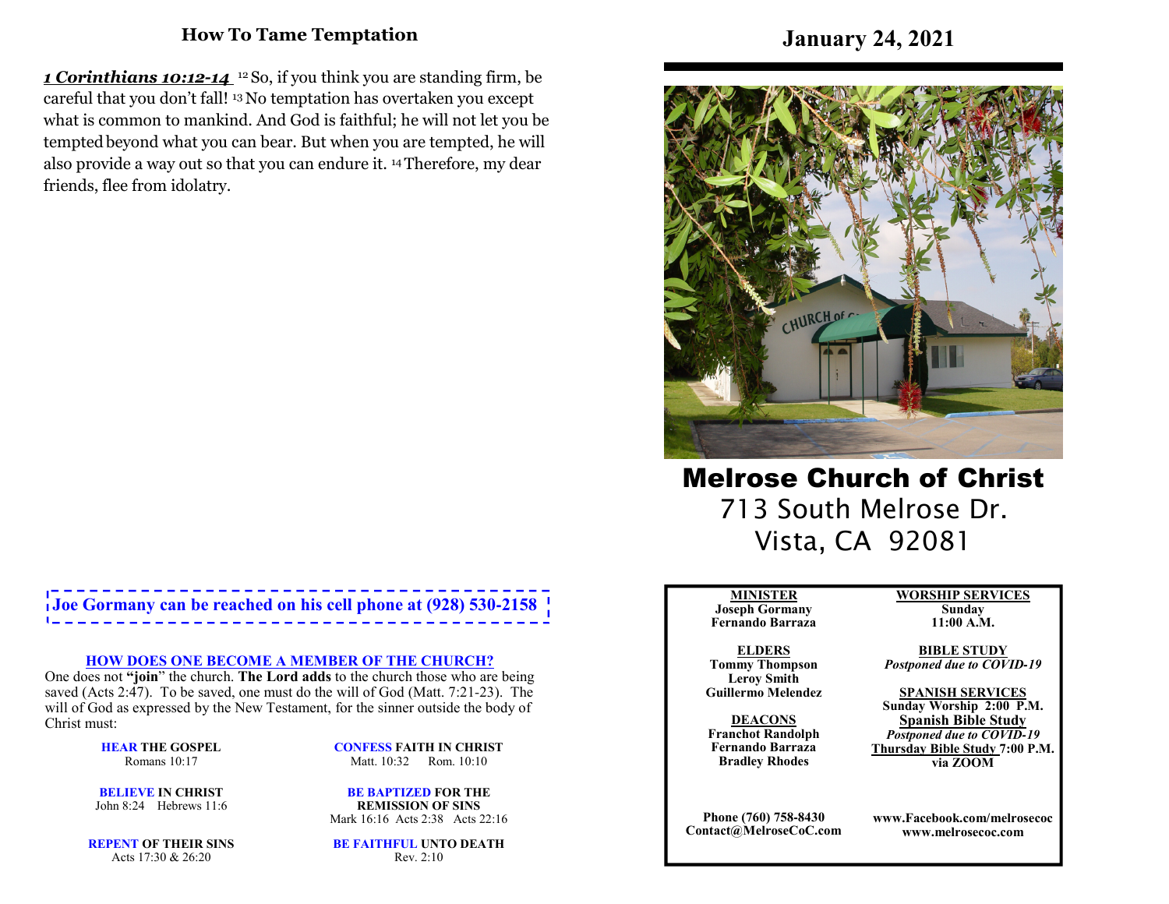### **How To Tame Temptation**

*1 Corinthians 10:12-14* 12 So, if you think you are standing firm, be careful that you don't fall! 13 No temptation has overtaken you except what is common to mankind. And God is faithful; he will not let you be tempted beyond what you can bear. But when you are tempted, he will also provide a way out so that you can endure it. 14 Therefore, my dear friends, flee from idolatry.

# **Joe Gormany can be reached on his cell phone at (928) 530-2158**

#### **HOW DOES ONE BECOME A MEMBER OF THE CHURCH?**

 One does not **"join**" the church. **The Lord adds** to the church those who are being saved (Acts 2:47). To be saved, one must do the will of God (Matt. 7:21-23). The will of God as expressed by the New Testament, for the sinner outside the body of Christ must:

> **HEAR THE GOSPEL**Romans 10:17

**CONFESS FAITH IN CHRIST**Matt. 10:32 Rom. 10:10

**BELIEVE IN CHRIST**John 8:24 Hebrews 11:6

**BE BAPTIZED FOR THE REMISSION OF SINS**Mark 16:16 Acts 2:38 Acts 22:16

**REPENT OF THEIR SINS**Acts 17:30 & 26:20

**BE FAITHFUL UNTO DEATH**Rev. 2:10

## **January 24, 2021**



Melrose Church of Christ 713 South Melrose Dr. Vista, CA 92081

#### **MINISTER**

 **Joseph Gormany Fernando Barraza**

**ELDERS Tommy Thompson Leroy SmithGuillermo Melendez** 

**DEACONS Franchot Randolph Fernando BarrazaBradley Rhodes**

**Phone (760) 758-8430Contact@MelroseCoC.com** **WORSHIP SERVICESSunday** 

**11:00 A.M.** 

**BIBLE STUDY***Postponed due to COVID-19*

**SPANISH SERVICES Sunday Worship 2:00 P.M.Spanish Bible Study** *Postponed due to COVID-19*  **Thursday Bible Study 7:00 P.M.via ZOOM**

**www.Facebook.com/melrosecocwww.melrosecoc.com**